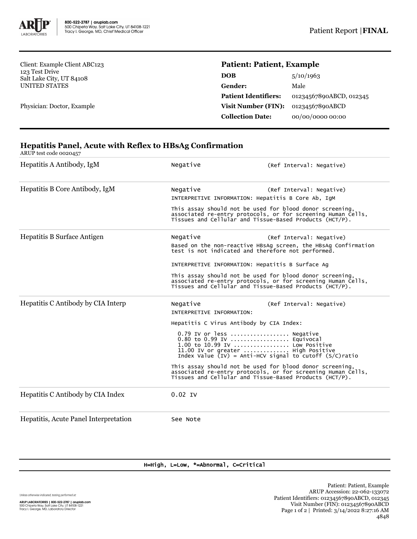

Client: Example Client ABC123 123 Test Drive Salt Lake City, UT 84108 UNITED STATES

Physician: Doctor, Example

## **Patient: Patient, Example**

| 5/10/1963               |
|-------------------------|
| Male                    |
| 01234567890ABCD, 012345 |
| 01234567890ABCD         |
| 00/00/0000 00:00        |
|                         |

## **Hepatitis Panel, Acute with Reflex to HBsAg Confirmation**

ARUP test code 0020457

| Hepatitis A Antibody, IgM             | Negative                                                                                                                                                                                   | (Ref Interval: Negative)                                                                                             |  |  |
|---------------------------------------|--------------------------------------------------------------------------------------------------------------------------------------------------------------------------------------------|----------------------------------------------------------------------------------------------------------------------|--|--|
| Hepatitis B Core Antibody, IgM        | Negative                                                                                                                                                                                   | (Ref Interval: Negative)<br>INTERPRETIVE INFORMATION: Hepatitis B Core Ab, IgM                                       |  |  |
|                                       | This assay should not be used for blood donor screening,<br>associated re-entry protocols, or for screening Human Cells,<br>Tissues and Cellular and Tissue-Based Products (HCT/P).        |                                                                                                                      |  |  |
| Hepatitis B Surface Antigen           | Negative                                                                                                                                                                                   | (Ref Interval: Negative)                                                                                             |  |  |
|                                       |                                                                                                                                                                                            | Based on the non-reactive HBSAg screen, the HBSAg Confirmation<br>test is not indicated and therefore not performed. |  |  |
|                                       | INTERPRETIVE INFORMATION: Hepatitis B Surface Ag                                                                                                                                           |                                                                                                                      |  |  |
|                                       | This assay should not be used for blood donor screening,<br>associated re-entry protocols, or for screening Human Cells,<br>Tissues and Cellular and Tissue-Based Products (HCT/P).        |                                                                                                                      |  |  |
| Hepatitis C Antibody by CIA Interp    | Negative<br>INTERPRETIVE INFORMATION:                                                                                                                                                      | (Ref Interval: Negative)                                                                                             |  |  |
|                                       | Hepatitis C Virus Antibody by CIA Index:                                                                                                                                                   |                                                                                                                      |  |  |
|                                       | 0.79 IV or less  Negative<br>0.80 to 0.99 IV  Equivocal<br>1.00 to 10.99 IV  Low Positive<br>11.00 IV or greater  High Positive<br>Index Value (IV) = Anti-HCV signal to cutoff (S/C)ratio |                                                                                                                      |  |  |
|                                       | This assay should not be used for blood donor screening,<br>associated re-entry protocols, or for screening Human Cells,<br>Tissues and Cellular and Tissue-Based Products (HCT/P).        |                                                                                                                      |  |  |
| Hepatitis C Antibody by CIA Index     | $0.02$ IV                                                                                                                                                                                  |                                                                                                                      |  |  |
| Hepatitis, Acute Panel Interpretation | See Note                                                                                                                                                                                   |                                                                                                                      |  |  |

## H=High, L=Low, \*=Abnormal, C=Critical

Unless otherwise indicated, testing performed at: